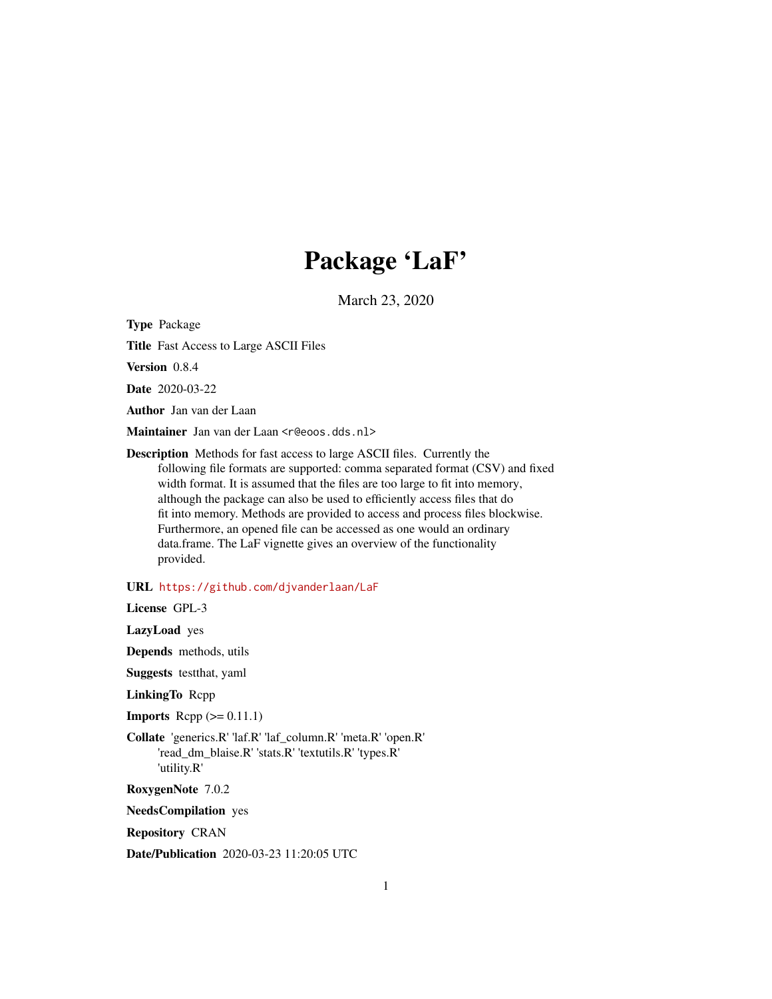## Package 'LaF'

March 23, 2020

<span id="page-0-0"></span>Type Package

Title Fast Access to Large ASCII Files

Version 0.8.4

Date 2020-03-22

Author Jan van der Laan

Maintainer Jan van der Laan <r@eoos.dds.nl>

Description Methods for fast access to large ASCII files. Currently the following file formats are supported: comma separated format (CSV) and fixed width format. It is assumed that the files are too large to fit into memory, although the package can also be used to efficiently access files that do fit into memory. Methods are provided to access and process files blockwise. Furthermore, an opened file can be accessed as one would an ordinary data.frame. The LaF vignette gives an overview of the functionality provided.

URL <https://github.com/djvanderlaan/LaF>

License GPL-3

LazyLoad yes

Depends methods, utils

Suggests testthat, yaml

LinkingTo Rcpp

**Imports** Rcpp  $(>= 0.11.1)$ 

Collate 'generics.R' 'laf.R' 'laf\_column.R' 'meta.R' 'open.R' 'read\_dm\_blaise.R' 'stats.R' 'textutils.R' 'types.R' 'utility.R'

RoxygenNote 7.0.2

NeedsCompilation yes

Repository CRAN

Date/Publication 2020-03-23 11:20:05 UTC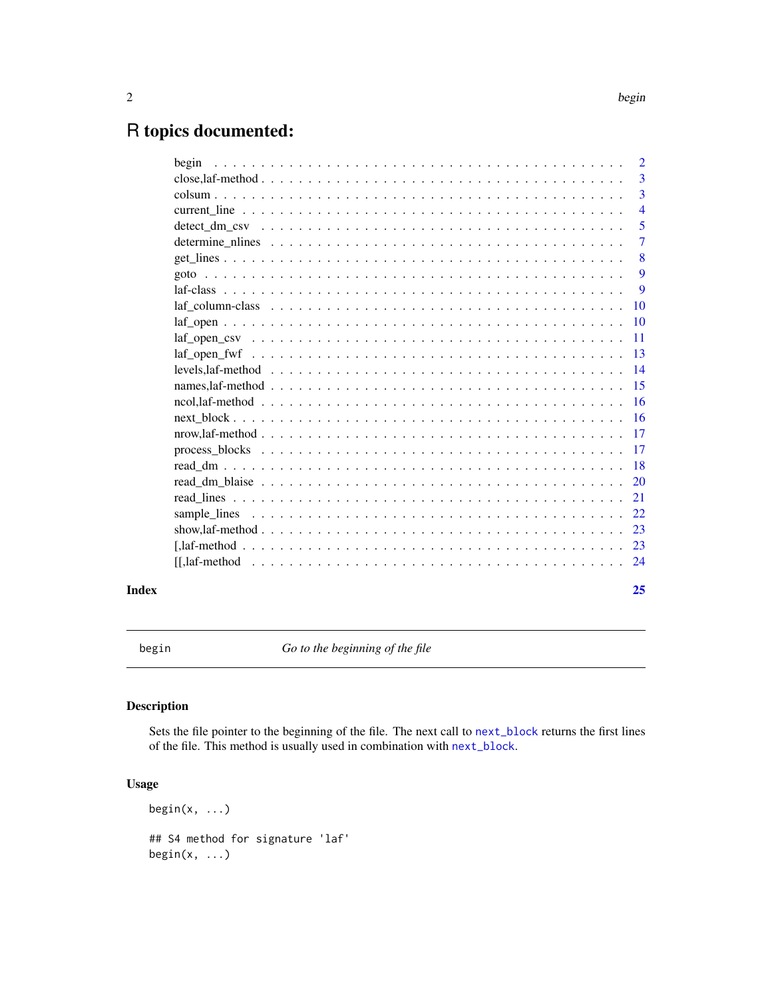## <span id="page-1-0"></span>R topics documented:

|       | $\overline{2}$ |
|-------|----------------|
|       | $\overline{3}$ |
|       | 3              |
|       | $\overline{4}$ |
|       | 5              |
|       | $\overline{7}$ |
|       | 8              |
|       | 9              |
|       | 9              |
|       |                |
|       |                |
|       |                |
|       |                |
|       |                |
|       |                |
|       |                |
|       |                |
|       |                |
|       |                |
|       |                |
|       |                |
|       |                |
|       |                |
|       |                |
|       |                |
|       |                |
| Index | 25             |

begin *Go to the beginning of the file*

### Description

Sets the file pointer to the beginning of the file. The next call to [next\\_block](#page-15-1) returns the first lines of the file. This method is usually used in combination with [next\\_block](#page-15-1).

### Usage

 $begin(x, \ldots)$ ## S4 method for signature 'laf'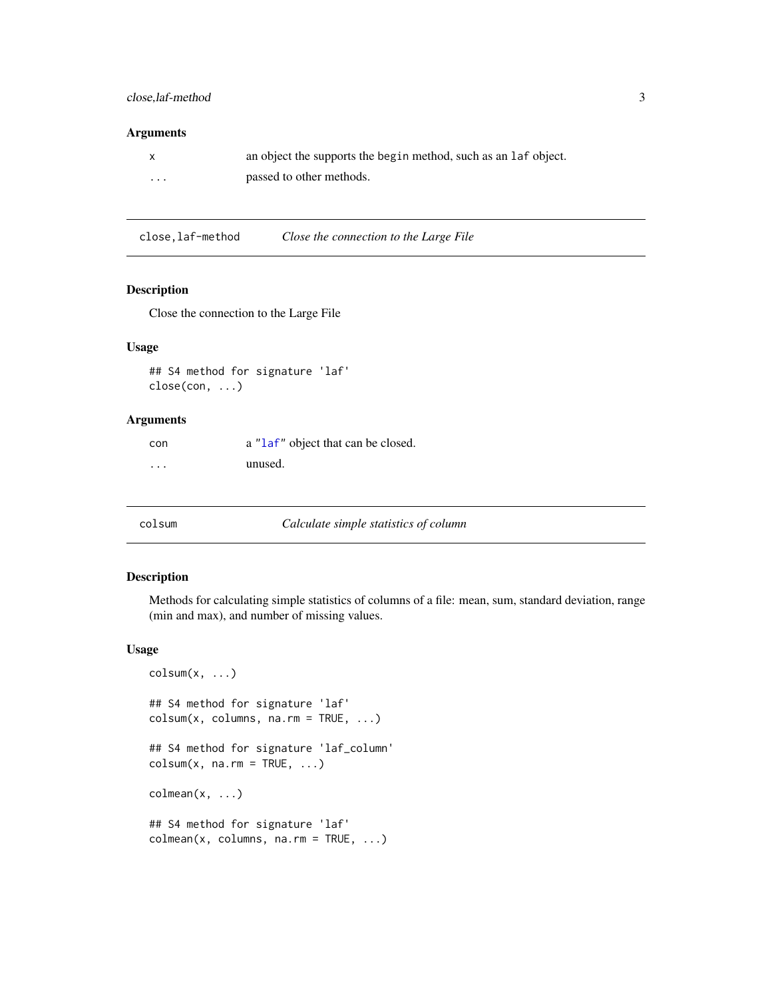#### <span id="page-2-0"></span>close,laf-method 3

#### Arguments

|          | an object the supports the begin method, such as an laf object. |
|----------|-----------------------------------------------------------------|
| $\cdots$ | passed to other methods.                                        |

close,laf-method *Close the connection to the Large File*

### Description

Close the connection to the Large File

### Usage

```
## S4 method for signature 'laf'
close(con, ...)
```
#### Arguments

con a ["laf"](#page-8-1) object that can be closed. ... unused.

#### colsum *Calculate simple statistics of column*

### Description

Methods for calculating simple statistics of columns of a file: mean, sum, standard deviation, range (min and max), and number of missing values.

#### Usage

```
colsum(x, \ldots)## S4 method for signature 'laf'
colsum(x, columns, na.rm = TRUE, ...)## S4 method for signature 'laf_column'
colsum(x, na.rm = TRUE, ...)colmean(x, \ldots)## S4 method for signature 'laf'
colmean(x, columns, n a.rm = TRUE, ...)
```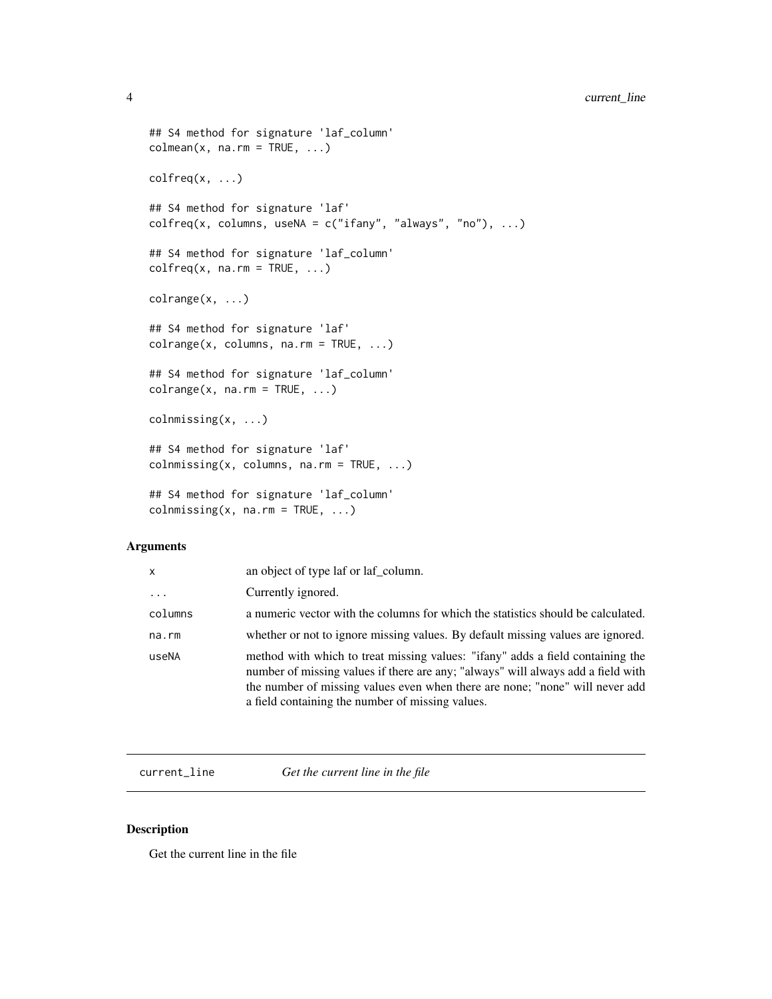### <span id="page-3-0"></span>4 current\_line

```
## S4 method for signature 'laf_column'
colmean(x, na.rm = TRUE, ...)colfreq(x, \ldots)## S4 method for signature 'laf'
\text{colfreq}(x, \text{ columns}, \text{ useNA} = c("ifany", "always", "no"), ... )## S4 method for signature 'laf_column'
colfreq(x, na.rm = TRUE, ...)colrange(x, ...)
## S4 method for signature 'laf'
colrange(x, columns, na.rm = TRUE, ...)
## S4 method for signature 'laf_column'
colrange(x, na.rm = TRUE, ...)colnmissing(x, ...)
## S4 method for signature 'laf'
colnmissing(x, columns, na.rm = TRUE, \ldots)
## S4 method for signature 'laf_column'
colnmissing(x, na.rm = TRUE, \ldots)
```
#### Arguments

| x        | an object of type laf or laf column.                                                                                                                                                                                                                                                                   |
|----------|--------------------------------------------------------------------------------------------------------------------------------------------------------------------------------------------------------------------------------------------------------------------------------------------------------|
| $\cdots$ | Currently ignored.                                                                                                                                                                                                                                                                                     |
| columns  | a numeric vector with the columns for which the statistics should be calculated.                                                                                                                                                                                                                       |
| na.rm    | whether or not to ignore missing values. By default missing values are ignored.                                                                                                                                                                                                                        |
| useNA    | method with which to treat missing values: "ifany" adds a field containing the<br>number of missing values if there are any; "always" will always add a field with<br>the number of missing values even when there are none; "none" will never add<br>a field containing the number of missing values. |

<span id="page-3-1"></span>current\_line *Get the current line in the file*

#### Description

Get the current line in the file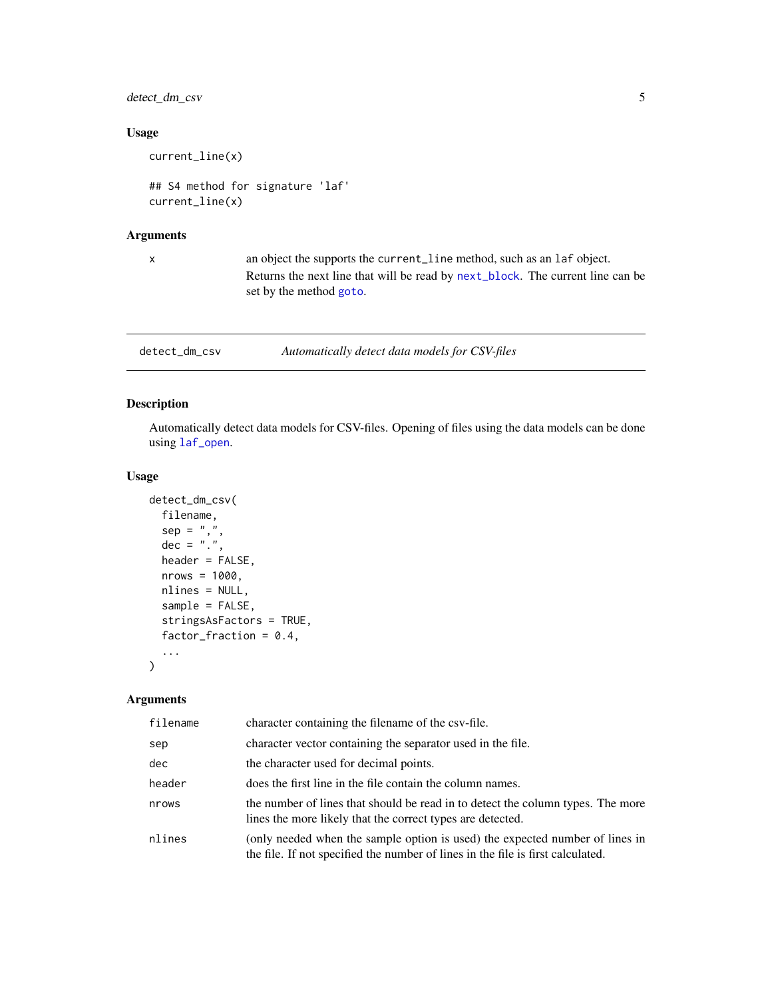### <span id="page-4-0"></span>detect\_dm\_csv 5

### Usage

current\_line(x)

## S4 method for signature 'laf' current\_line(x)

### Arguments

x an object the supports the current\_line method, such as an laf object. Returns the next line that will be read by [next\\_block](#page-15-1). The current line can be set by the method [goto](#page-8-2).

<span id="page-4-1"></span>detect\_dm\_csv *Automatically detect data models for CSV-files*

### Description

Automatically detect data models for CSV-files. Opening of files using the data models can be done using [laf\\_open](#page-9-1).

#### Usage

```
detect_dm_csv(
  filename,
  sep = ","dec = "."header = FALSE,
  nrows = 1000,nlines = NULL,
  sample = FALSE,
  stringsAsFactors = TRUE,
  factor\_fraction = 0.4,
  ...
)
```

| filename | character containing the filename of the csv-file.                                                                                                              |
|----------|-----------------------------------------------------------------------------------------------------------------------------------------------------------------|
| sep      | character vector containing the separator used in the file.                                                                                                     |
| dec      | the character used for decimal points.                                                                                                                          |
| header   | does the first line in the file contain the column names.                                                                                                       |
| nrows    | the number of lines that should be read in to detect the column types. The more<br>lines the more likely that the correct types are detected.                   |
| nlines   | (only needed when the sample option is used) the expected number of lines in<br>the file. If not specified the number of lines in the file is first calculated. |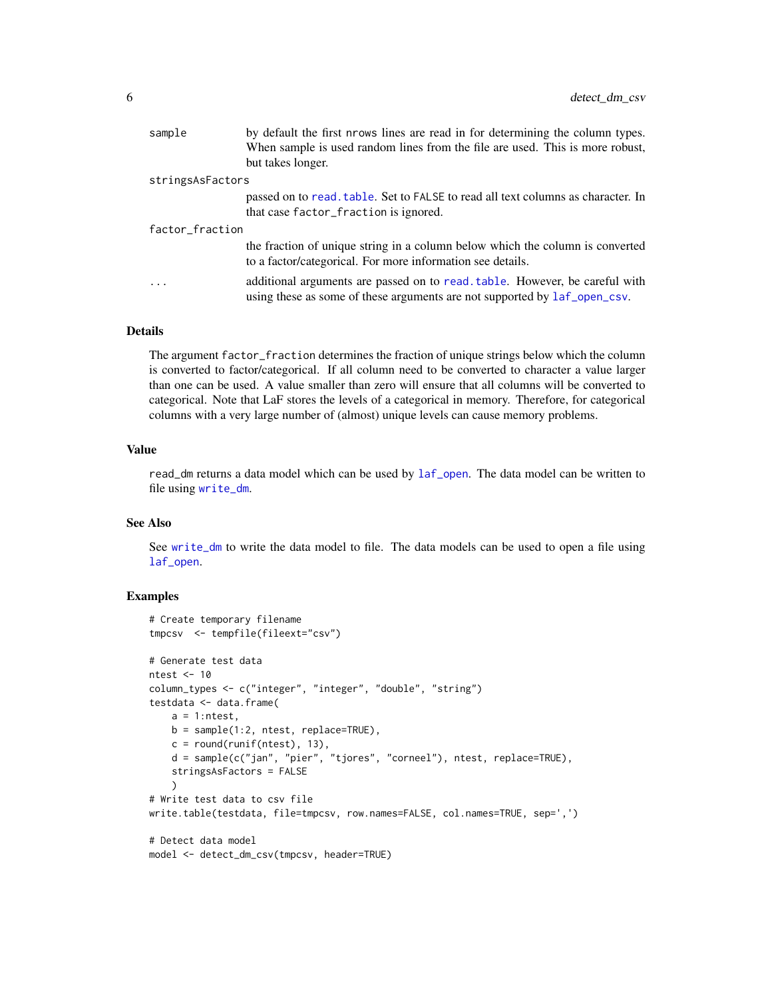<span id="page-5-0"></span>

| sample           | by default the first nrows lines are read in for determining the column types.<br>When sample is used random lines from the file are used. This is more robust, |
|------------------|-----------------------------------------------------------------------------------------------------------------------------------------------------------------|
|                  | but takes longer.                                                                                                                                               |
| stringsAsFactors |                                                                                                                                                                 |
|                  | passed on to read, table. Set to FALSE to read all text columns as character. In<br>that case factor_fraction is ignored.                                       |
| factor_fraction  |                                                                                                                                                                 |
|                  | the fraction of unique string in a column below which the column is converted<br>to a factor/categorical. For more information see details.                     |
| .                | additional arguments are passed on to read, table. However, be careful with<br>using these as some of these arguments are not supported by $laf\_open\_csv$ .   |
|                  |                                                                                                                                                                 |

### Details

The argument factor\_fraction determines the fraction of unique strings below which the column is converted to factor/categorical. If all column need to be converted to character a value larger than one can be used. A value smaller than zero will ensure that all columns will be converted to categorical. Note that LaF stores the levels of a categorical in memory. Therefore, for categorical columns with a very large number of (almost) unique levels can cause memory problems.

#### Value

read\_dm returns a data model which can be used by [laf\\_open](#page-9-1). The data model can be written to file using [write\\_dm](#page-17-1).

#### See Also

See [write\\_dm](#page-17-1) to write the data model to file. The data models can be used to open a file using [laf\\_open](#page-9-1).

### Examples

```
# Create temporary filename
tmpcsv <- tempfile(fileext="csv")
# Generate test data
ntest <- 10
column_types <- c("integer", "integer", "double", "string")
testdata <- data.frame(
   a = 1:ntest,
   b = sample(1:2, ntest, replace=TRUE),
   c = round(runif(ntest), 13),d = sample(c("jan", "pier", "tjores", "corneel"), ntest, replace=TRUE),
   stringsAsFactors = FALSE
    )
# Write test data to csv file
write.table(testdata, file=tmpcsv, row.names=FALSE, col.names=TRUE, sep=',')
# Detect data model
model <- detect_dm_csv(tmpcsv, header=TRUE)
```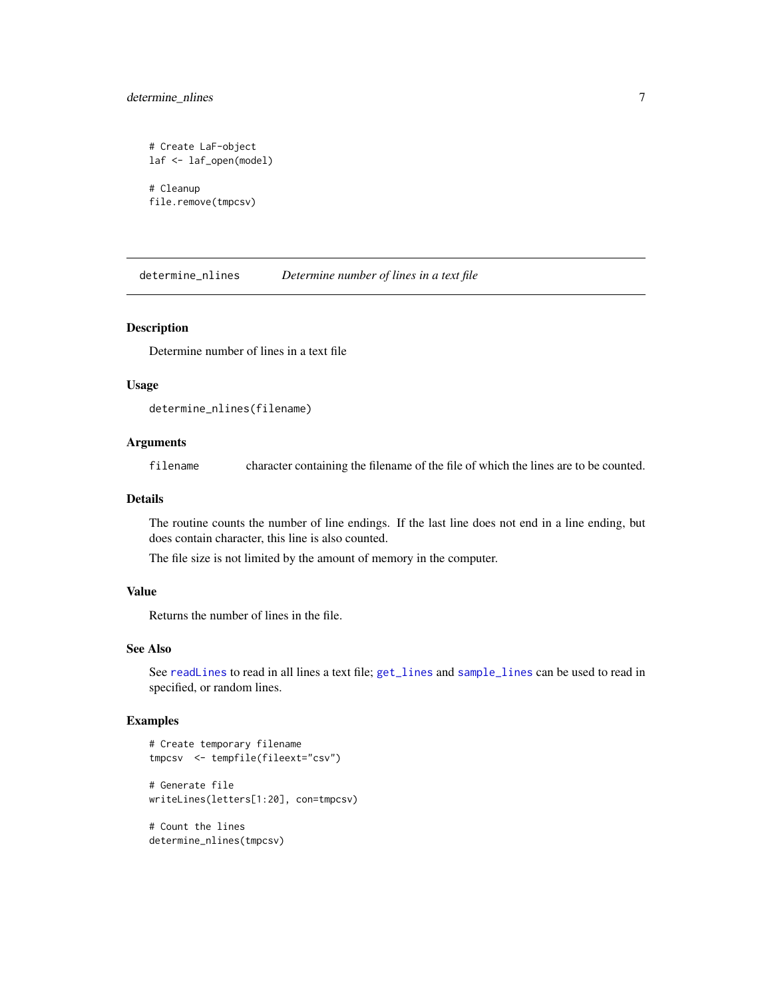### <span id="page-6-0"></span>determine\_nlines 7

```
# Create LaF-object
laf <- laf_open(model)
# Cleanup
file.remove(tmpcsv)
```
<span id="page-6-1"></span>determine\_nlines *Determine number of lines in a text file*

#### Description

Determine number of lines in a text file

#### Usage

```
determine_nlines(filename)
```
#### Arguments

filename character containing the filename of the file of which the lines are to be counted.

#### Details

The routine counts the number of line endings. If the last line does not end in a line ending, but does contain character, this line is also counted.

The file size is not limited by the amount of memory in the computer.

### Value

Returns the number of lines in the file.

#### See Also

See [readLines](#page-0-0) to read in all lines a text file; [get\\_lines](#page-7-1) and [sample\\_lines](#page-21-1) can be used to read in specified, or random lines.

### Examples

```
# Create temporary filename
tmpcsv <- tempfile(fileext="csv")
# Generate file
writeLines(letters[1:20], con=tmpcsv)
# Count the lines
determine_nlines(tmpcsv)
```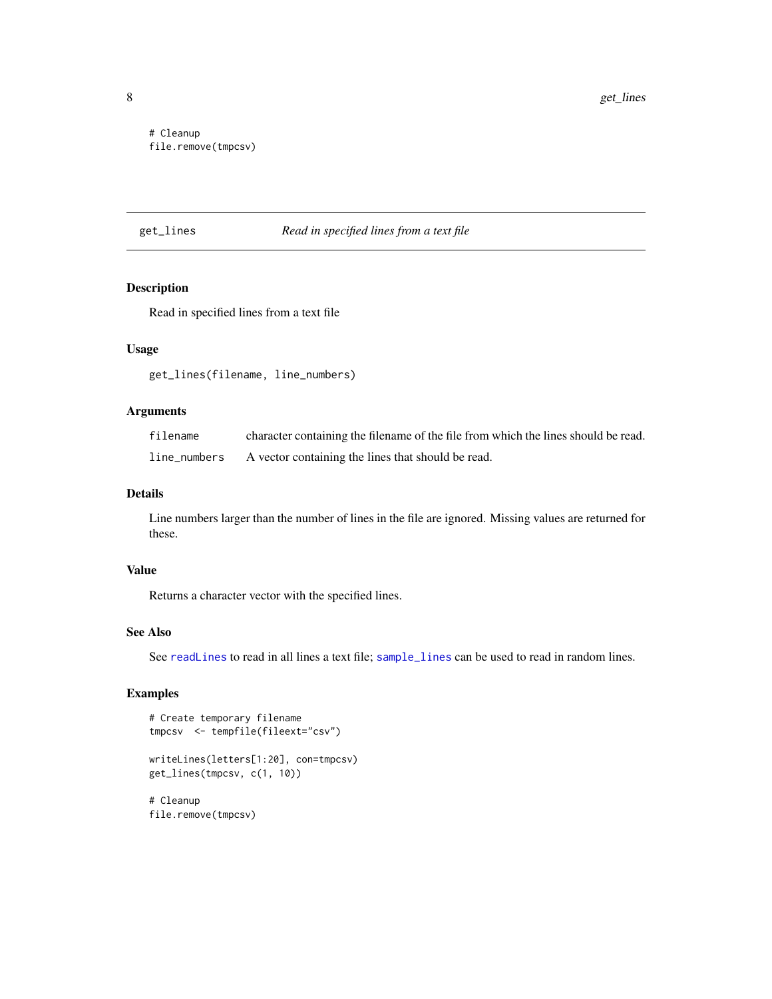<span id="page-7-0"></span># Cleanup file.remove(tmpcsv)

### <span id="page-7-1"></span>get\_lines *Read in specified lines from a text file*

### Description

Read in specified lines from a text file

#### Usage

get\_lines(filename, line\_numbers)

### Arguments

| filename     | character containing the filename of the file from which the lines should be read. |
|--------------|------------------------------------------------------------------------------------|
| line_numbers | A vector containing the lines that should be read.                                 |

#### Details

Line numbers larger than the number of lines in the file are ignored. Missing values are returned for these.

#### Value

Returns a character vector with the specified lines.

#### See Also

See [readLines](#page-0-0) to read in all lines a text file; [sample\\_lines](#page-21-1) can be used to read in random lines.

### Examples

```
# Create temporary filename
tmpcsv <- tempfile(fileext="csv")
```

```
writeLines(letters[1:20], con=tmpcsv)
get_lines(tmpcsv, c(1, 10))
```
# Cleanup file.remove(tmpcsv)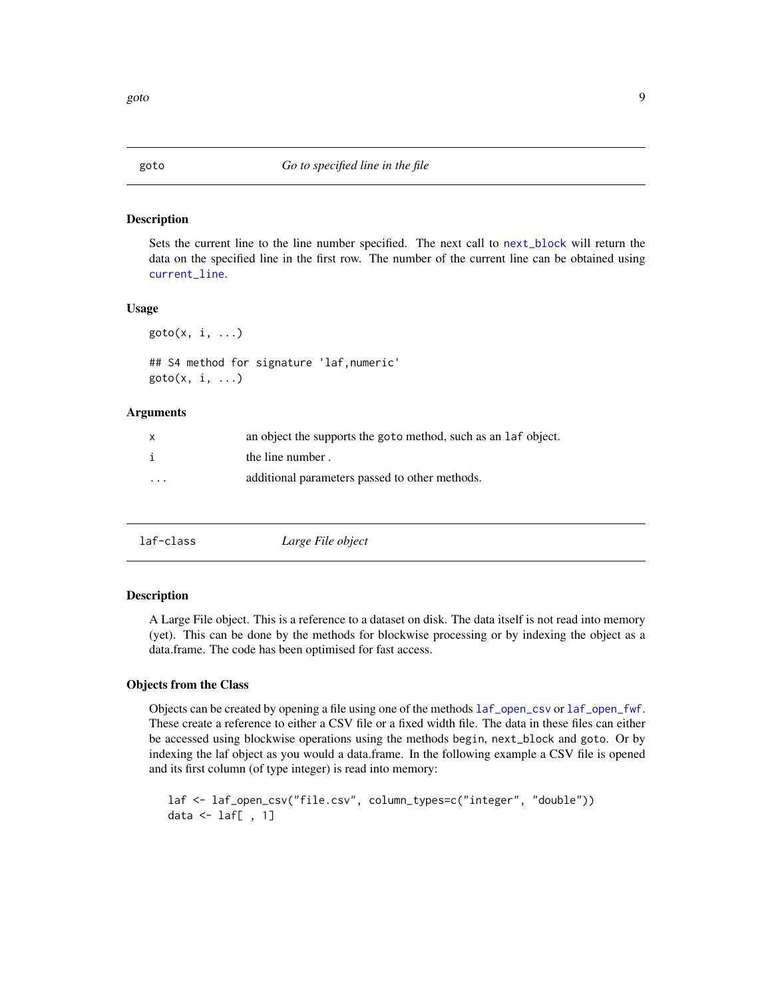<span id="page-8-2"></span><span id="page-8-0"></span>

#### Description

Sets the current line to the line number specified. The next call to [next\\_block](#page-15-1) will return the data on the specified line in the first row. The number of the current line can be obtained using [current\\_line](#page-3-1).

#### Usage

 $goto(x, i, ...)$ 

```
## S4 method for signature 'laf,numeric'
goto(x, i, ...)
```
#### Arguments

| X        | an object the supports the goto method, such as an laf object. |
|----------|----------------------------------------------------------------|
|          | the line number.                                               |
| $\cdots$ | additional parameters passed to other methods.                 |

<span id="page-8-1"></span>

| laf-class | Large File object |  |
|-----------|-------------------|--|
|-----------|-------------------|--|

### **Description**

A Large File object. This is a reference to a dataset on disk. The data itself is not read into memory (yet). This can be done by the methods for blockwise processing or by indexing the object as a data.frame. The code has been optimised for fast access.

#### Objects from the Class

Objects can be created by opening a file using one of the methods [laf\\_open\\_csv](#page-10-1) or [laf\\_open\\_fwf](#page-12-1). These create a reference to either a CSV file or a fixed width file. The data in these files can either be accessed using blockwise operations using the methods begin, next\_block and goto. Or by indexing the laf object as you would a data.frame. In the following example a CSV file is opened and its first column (of type integer) is read into memory:

```
laf <- laf_open_csv("file.csv", column_types=c("integer", "double"))
data \le laf[, 1]
```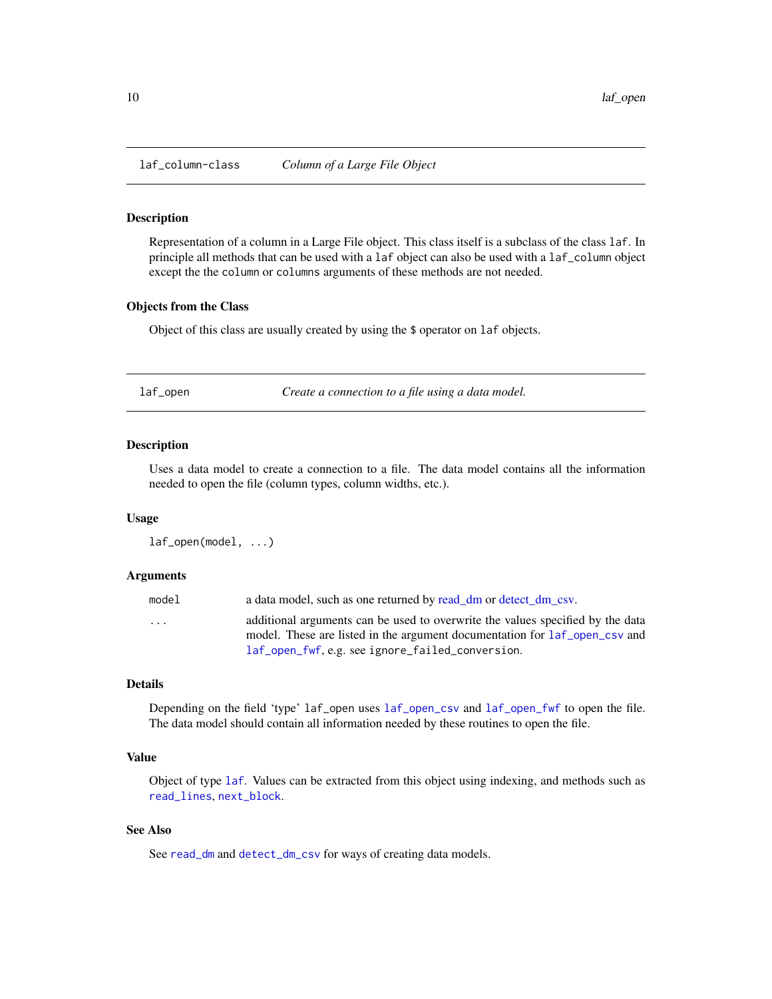<span id="page-9-2"></span><span id="page-9-0"></span>

#### Description

Representation of a column in a Large File object. This class itself is a subclass of the class laf. In principle all methods that can be used with a laf object can also be used with a laf\_column object except the the column or columns arguments of these methods are not needed.

### Objects from the Class

Object of this class are usually created by using the \$ operator on laf objects.

<span id="page-9-1"></span>laf\_open *Create a connection to a file using a data model.*

### **Description**

Uses a data model to create a connection to a file. The data model contains all the information needed to open the file (column types, column widths, etc.).

#### Usage

laf\_open(model, ...)

#### Arguments

| model                   | a data model, such as one returned by read_dm or detect_dm_csv.                                                                                              |
|-------------------------|--------------------------------------------------------------------------------------------------------------------------------------------------------------|
| $\cdot$ $\cdot$ $\cdot$ | additional arguments can be used to overwrite the values specified by the data<br>model. These are listed in the argument documentation for laf_open_csv and |
|                         | laf_open_fwf, e.g. see ignore_failed_conversion.                                                                                                             |

#### Details

Depending on the field 'type' laf\_open uses [laf\\_open\\_csv](#page-10-1) and [laf\\_open\\_fwf](#page-12-1) to open the file. The data model should contain all information needed by these routines to open the file.

### Value

Object of type [laf](#page-8-1). Values can be extracted from this object using indexing, and methods such as [read\\_lines](#page-20-1), [next\\_block](#page-15-1).

#### See Also

See [read\\_dm](#page-17-2) and [detect\\_dm\\_csv](#page-4-1) for ways of creating data models.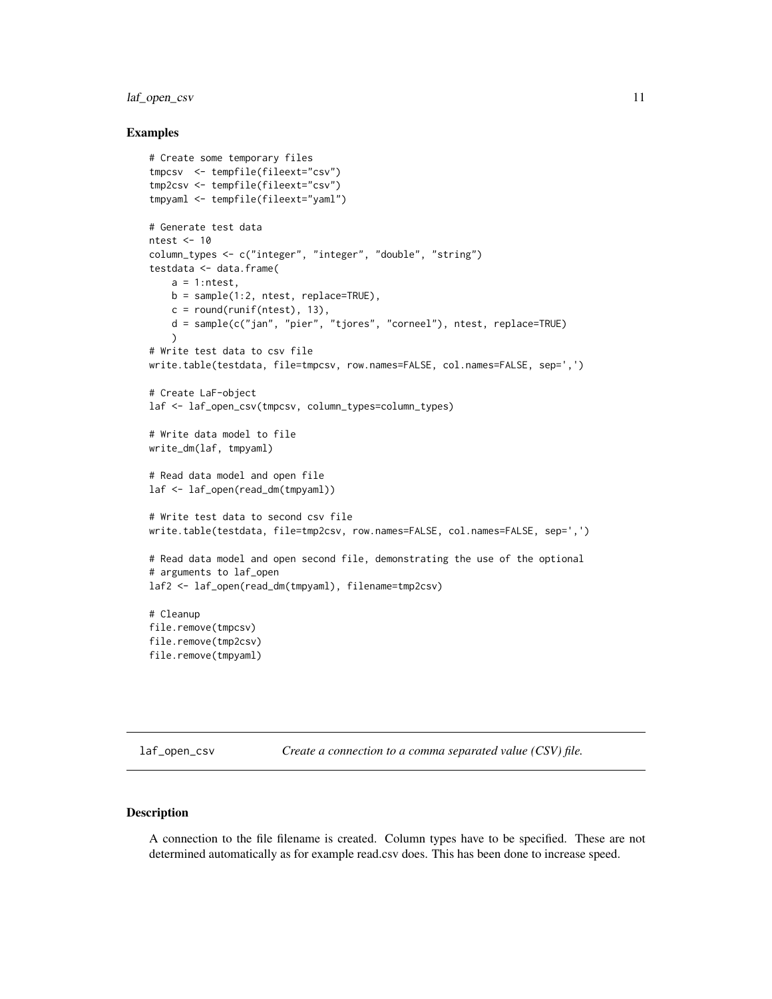### <span id="page-10-0"></span>laf\_open\_csv 11

#### Examples

```
# Create some temporary files
tmpcsv <- tempfile(fileext="csv")
tmp2csv <- tempfile(fileext="csv")
tmpyaml <- tempfile(fileext="yaml")
# Generate test data
ntest <- 10
column_types <- c("integer", "integer", "double", "string")
testdata <- data.frame(
   a = 1:ntest,
   b = sample(1:2, ntest, replace=TRUE),
   c = round(runif(ntest), 13),d = sample(c("jan", "pier", "tjores", "corneel"), ntest, replace=TRUE)
    \lambda# Write test data to csv file
write.table(testdata, file=tmpcsv, row.names=FALSE, col.names=FALSE, sep=',')
# Create LaF-object
laf <- laf_open_csv(tmpcsv, column_types=column_types)
# Write data model to file
write_dm(laf, tmpyaml)
# Read data model and open file
laf <- laf_open(read_dm(tmpyaml))
# Write test data to second csv file
write.table(testdata, file=tmp2csv, row.names=FALSE, col.names=FALSE, sep=',')
# Read data model and open second file, demonstrating the use of the optional
# arguments to laf_open
laf2 <- laf_open(read_dm(tmpyaml), filename=tmp2csv)
# Cleanup
file.remove(tmpcsv)
file.remove(tmp2csv)
file.remove(tmpyaml)
```
<span id="page-10-1"></span>laf\_open\_csv *Create a connection to a comma separated value (CSV) file.*

### Description

A connection to the file filename is created. Column types have to be specified. These are not determined automatically as for example read.csv does. This has been done to increase speed.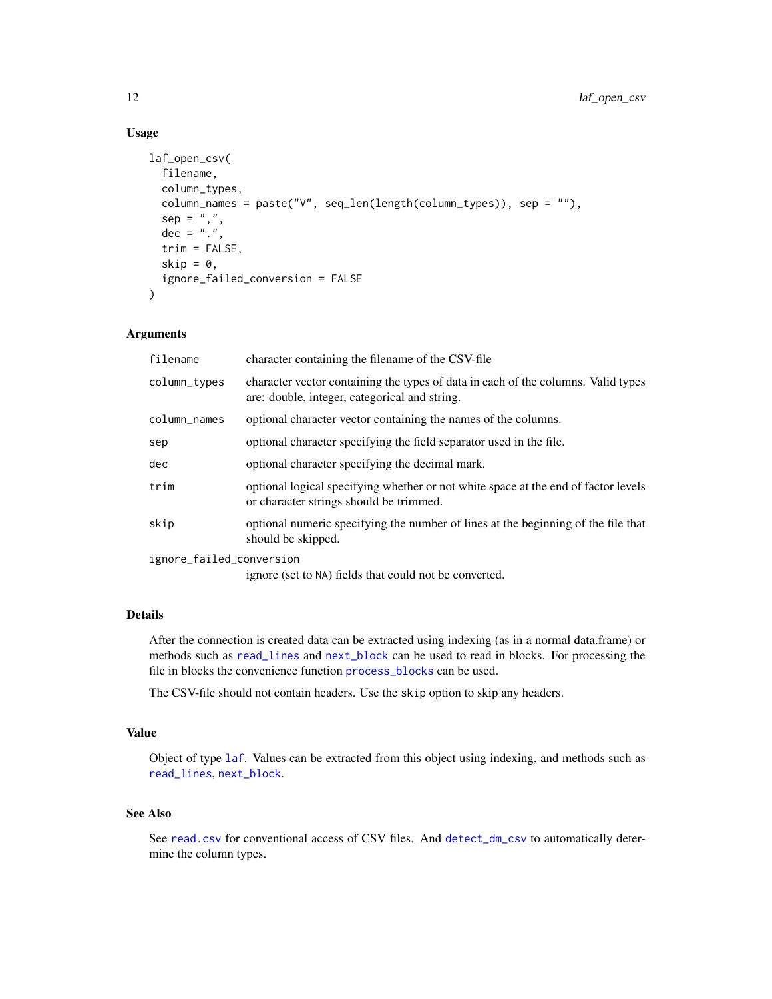### Usage

```
laf_open_csv(
  filename,
  column_types,
  column_names = paste("V", seq_len(length(column_types)), sep = ""),
  sep = ","dec = "."trim = FALSE,
  skip = 0,ignore_failed_conversion = FALSE
\lambda
```
### Arguments

| filename                 | character containing the filename of the CSV-file                                                                                  |
|--------------------------|------------------------------------------------------------------------------------------------------------------------------------|
| column_types             | character vector containing the types of data in each of the columns. Valid types<br>are: double, integer, categorical and string. |
| column_names             | optional character vector containing the names of the columns.                                                                     |
| sep                      | optional character specifying the field separator used in the file.                                                                |
| dec                      | optional character specifying the decimal mark.                                                                                    |
| trim                     | optional logical specifying whether or not white space at the end of factor levels<br>or character strings should be trimmed.      |
| skip                     | optional numeric specifying the number of lines at the beginning of the file that<br>should be skipped.                            |
| ignore_failed_conversion |                                                                                                                                    |

ignore (set to NA) fields that could not be converted.

### Details

After the connection is created data can be extracted using indexing (as in a normal data.frame) or methods such as [read\\_lines](#page-20-1) and [next\\_block](#page-15-1) can be used to read in blocks. For processing the file in blocks the convenience function [process\\_blocks](#page-16-1) can be used.

The CSV-file should not contain headers. Use the skip option to skip any headers.

#### Value

Object of type [laf](#page-8-1). Values can be extracted from this object using indexing, and methods such as [read\\_lines](#page-20-1), [next\\_block](#page-15-1).

### See Also

See [read.csv](#page-0-0) for conventional access of CSV files. And [detect\\_dm\\_csv](#page-4-1) to automatically determine the column types.

<span id="page-11-0"></span>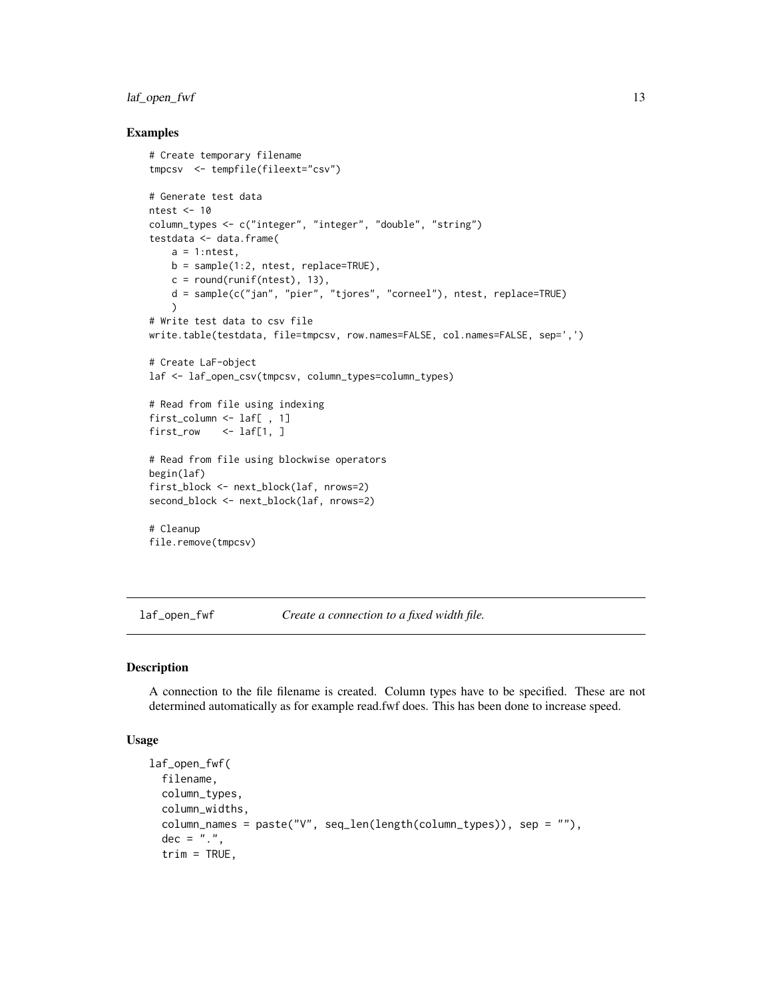### <span id="page-12-0"></span>laf\_open\_fwf 13

#### Examples

```
# Create temporary filename
tmpcsv <- tempfile(fileext="csv")
# Generate test data
ntest <- 10
column_types <- c("integer", "integer", "double", "string")
testdata <- data.frame(
   a = 1:ntest,
   b = sample(1:2, ntest, replace=TRUE),c = round(runif(ntest), 13),d = sample(c("jan", "pier", "tjores", "corneel"), ntest, replace=TRUE)
    \lambda# Write test data to csv file
write.table(testdata, file=tmpcsv, row.names=FALSE, col.names=FALSE, sep=',')
# Create LaF-object
laf <- laf_open_csv(tmpcsv, column_types=column_types)
# Read from file using indexing
first_column <- laf[ , 1]
first_row <- laf[1, ]
# Read from file using blockwise operators
begin(laf)
first_block <- next_block(laf, nrows=2)
second_block <- next_block(laf, nrows=2)
# Cleanup
file.remove(tmpcsv)
```
<span id="page-12-1"></span>laf\_open\_fwf *Create a connection to a fixed width file.*

#### Description

A connection to the file filename is created. Column types have to be specified. These are not determined automatically as for example read.fwf does. This has been done to increase speed.

#### Usage

```
laf_open_fwf(
  filename,
  column_types,
  column_widths,
  column_names = paste("V", seq_len(length(column_types)), sep = ""),
  dec = ".".trim = TRUE,
```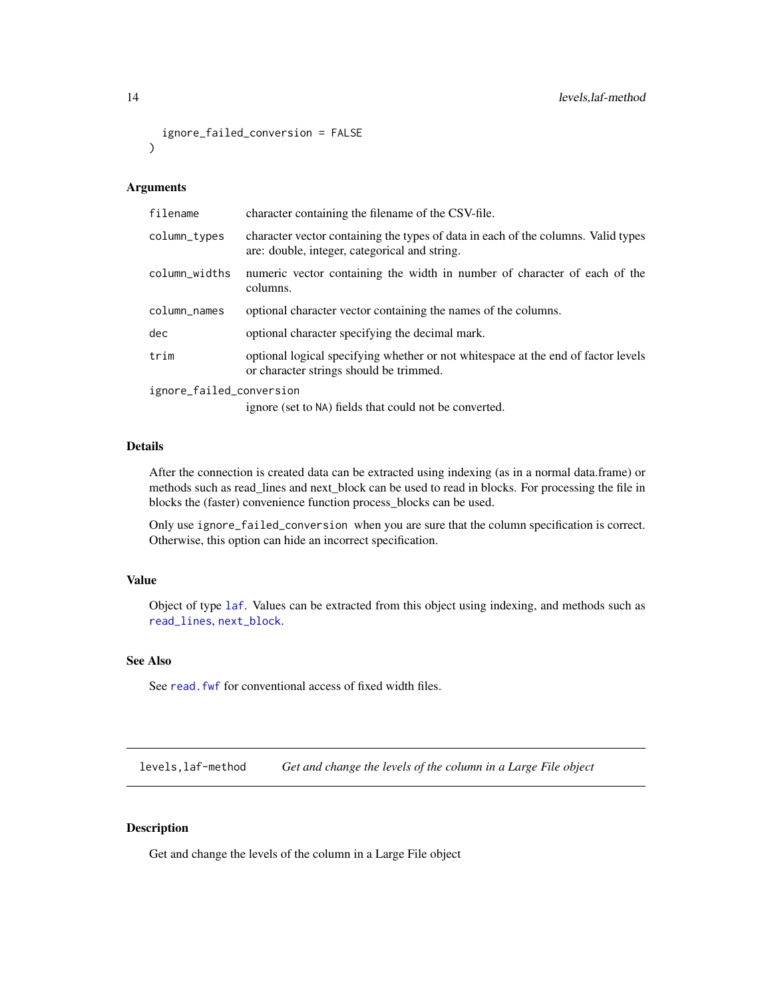```
ignore_failed_conversion = FALSE
\lambda
```
### Arguments

| filename                 | character containing the filename of the CSV-file.                                                                                 |  |
|--------------------------|------------------------------------------------------------------------------------------------------------------------------------|--|
| column_types             | character vector containing the types of data in each of the columns. Valid types<br>are: double, integer, categorical and string. |  |
| column_widths            | numeric vector containing the width in number of character of each of the<br>columns.                                              |  |
| column_names             | optional character vector containing the names of the columns.                                                                     |  |
| dec                      | optional character specifying the decimal mark.                                                                                    |  |
| trim                     | optional logical specifying whether or not whitespace at the end of factor levels<br>or character strings should be trimmed.       |  |
| ignore_failed_conversion |                                                                                                                                    |  |
|                          | ignore (set to NA) fields that could not be converted.                                                                             |  |

### Details

After the connection is created data can be extracted using indexing (as in a normal data.frame) or methods such as read\_lines and next\_block can be used to read in blocks. For processing the file in blocks the (faster) convenience function process\_blocks can be used.

Only use ignore\_failed\_conversion when you are sure that the column specification is correct. Otherwise, this option can hide an incorrect specification.

#### Value

Object of type [laf](#page-8-1). Values can be extracted from this object using indexing, and methods such as [read\\_lines](#page-20-1), [next\\_block](#page-15-1).

### See Also

See read. fwf for conventional access of fixed width files.

levels,laf-method *Get and change the levels of the column in a Large File object*

#### Description

Get and change the levels of the column in a Large File object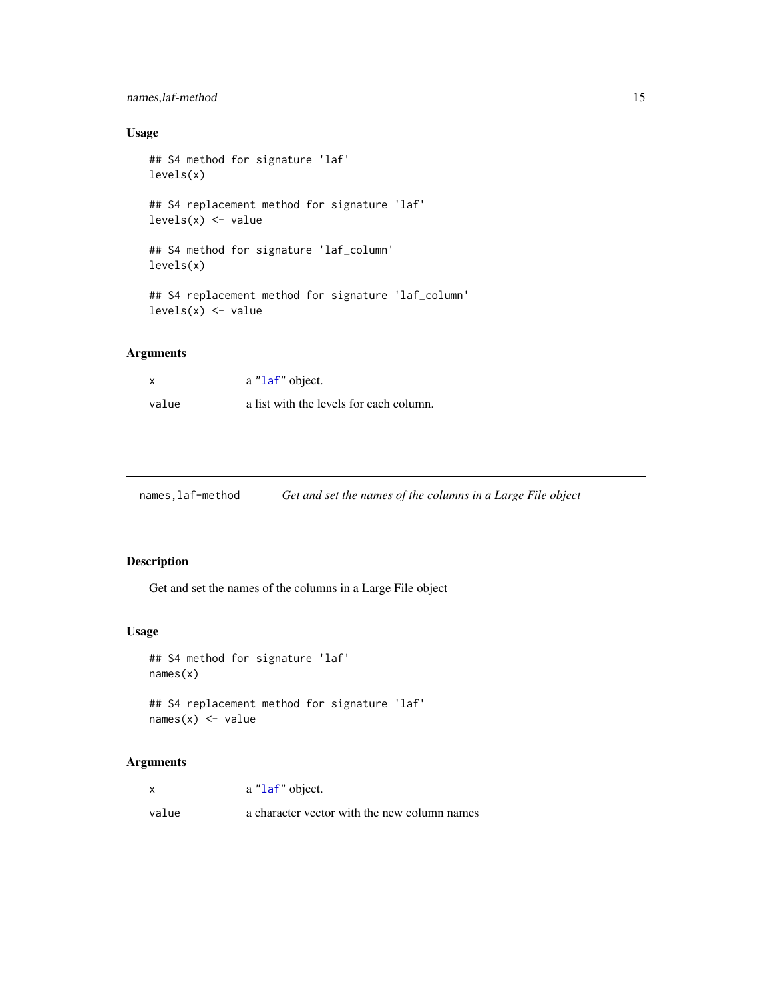### <span id="page-14-0"></span>names,laf-method 15

### Usage

```
## S4 method for signature 'laf'
levels(x)
## S4 replacement method for signature 'laf'
levels(x) \leftarrow value## S4 method for signature 'laf_column'
levels(x)
## S4 replacement method for signature 'laf_column'
levels(x) <- value
```
### Arguments

| $\boldsymbol{\mathsf{x}}$ | a "laf" object.                         |
|---------------------------|-----------------------------------------|
| value                     | a list with the levels for each column. |

names,laf-method *Get and set the names of the columns in a Large File object*

### Description

Get and set the names of the columns in a Large File object

### Usage

```
## S4 method for signature 'laf'
names(x)
## S4 replacement method for signature 'laf'
```

```
names(x) <- value
```

|       | a "laf" object.                              |
|-------|----------------------------------------------|
| value | a character vector with the new column names |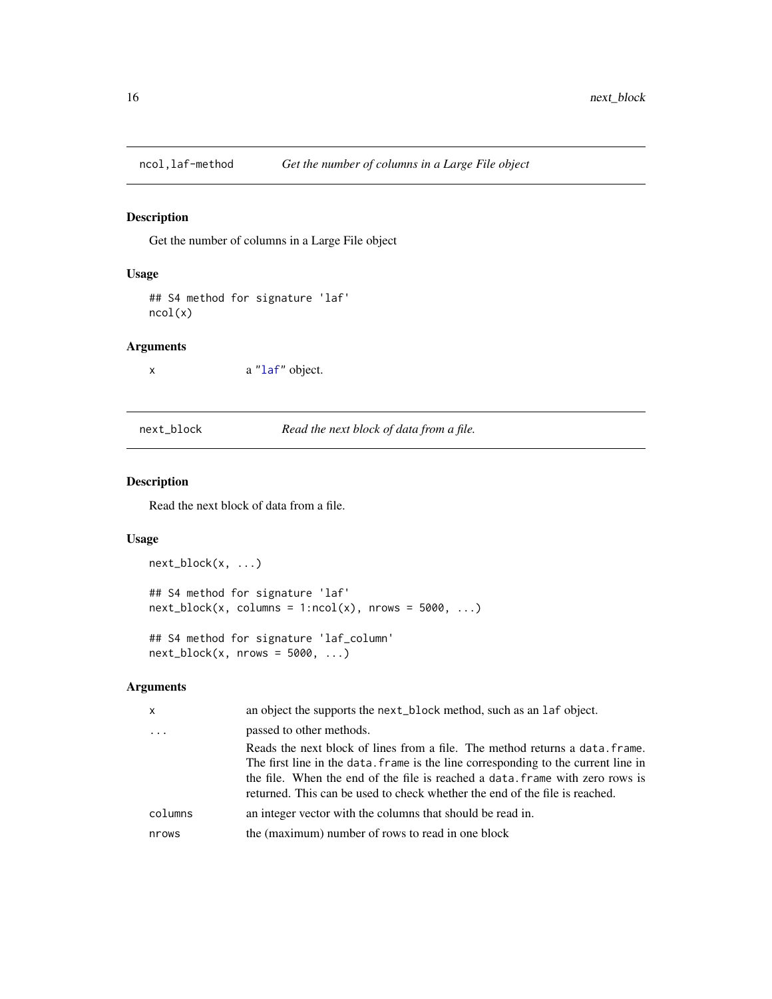<span id="page-15-0"></span>

### Description

Get the number of columns in a Large File object

### Usage

## S4 method for signature 'laf' ncol(x)

### Arguments

x a ["laf"](#page-8-1) object.

<span id="page-15-1"></span>next\_block *Read the next block of data from a file.*

### Description

Read the next block of data from a file.

#### Usage

```
next_block(x, ...)
## S4 method for signature 'laf'
next\_block(x, columns = 1:ncol(x), nrows = 5000, ...)## S4 method for signature 'laf_column'
next\_block(x, nrows = 5000, ...)
```

| $\mathsf{x}$ | an object the supports the next_block method, such as an laf object.                                                                                                                                                                                                                                                               |
|--------------|------------------------------------------------------------------------------------------------------------------------------------------------------------------------------------------------------------------------------------------------------------------------------------------------------------------------------------|
| $\cdot$ .    | passed to other methods.                                                                                                                                                                                                                                                                                                           |
|              | Reads the next block of lines from a file. The method returns a data, frame.<br>The first line in the data. frame is the line corresponding to the current line in<br>the file. When the end of the file is reached a data, frame with zero rows is<br>returned. This can be used to check whether the end of the file is reached. |
| columns      | an integer vector with the columns that should be read in.                                                                                                                                                                                                                                                                         |
| nrows        | the (maximum) number of rows to read in one block                                                                                                                                                                                                                                                                                  |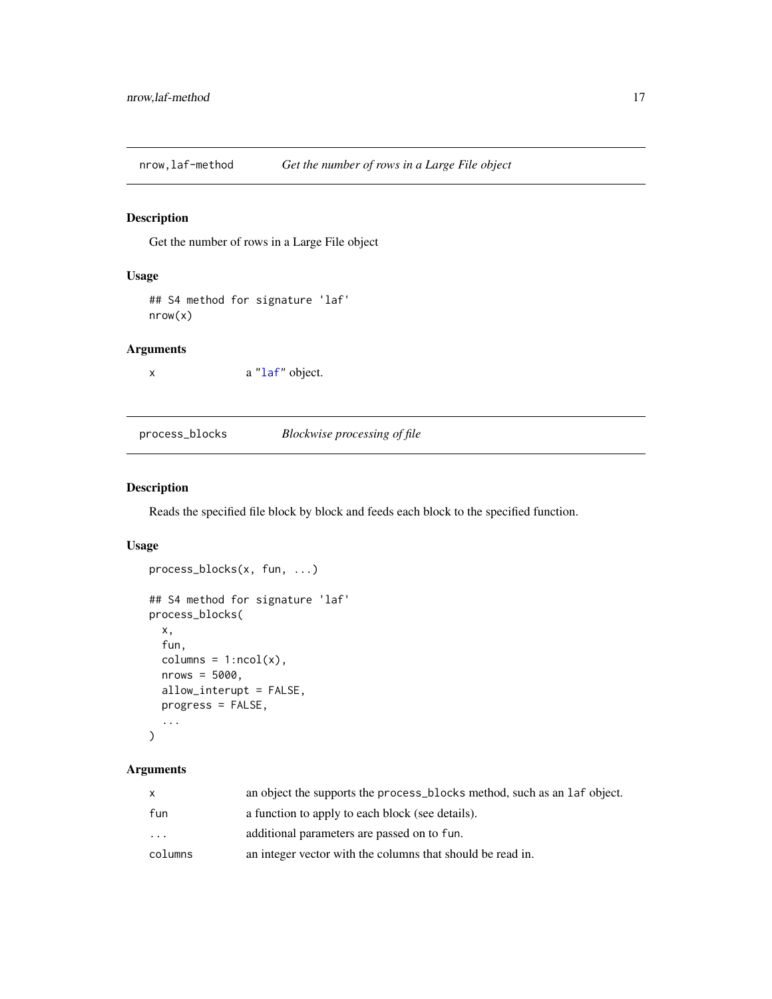<span id="page-16-0"></span>nrow,laf-method *Get the number of rows in a Large File object*

### Description

Get the number of rows in a Large File object

#### Usage

```
## S4 method for signature 'laf'
nrow(x)
```
### Arguments

x a ["laf"](#page-8-1) object.

<span id="page-16-1"></span>process\_blocks *Blockwise processing of file*

### Description

Reads the specified file block by block and feeds each block to the specified function.

### Usage

```
process_blocks(x, fun, ...)
## S4 method for signature 'laf'
process_blocks(
 x,
  fun,
 column = 1:ncol(x),nrows = 5000,allow_interupt = FALSE,
 progress = FALSE,
  ...
\mathcal{L}
```

| X       | an object the supports the process blocks method, such as an laf object. |
|---------|--------------------------------------------------------------------------|
| fun     | a function to apply to each block (see details).                         |
| .       | additional parameters are passed on to fun.                              |
| columns | an integer vector with the columns that should be read in.               |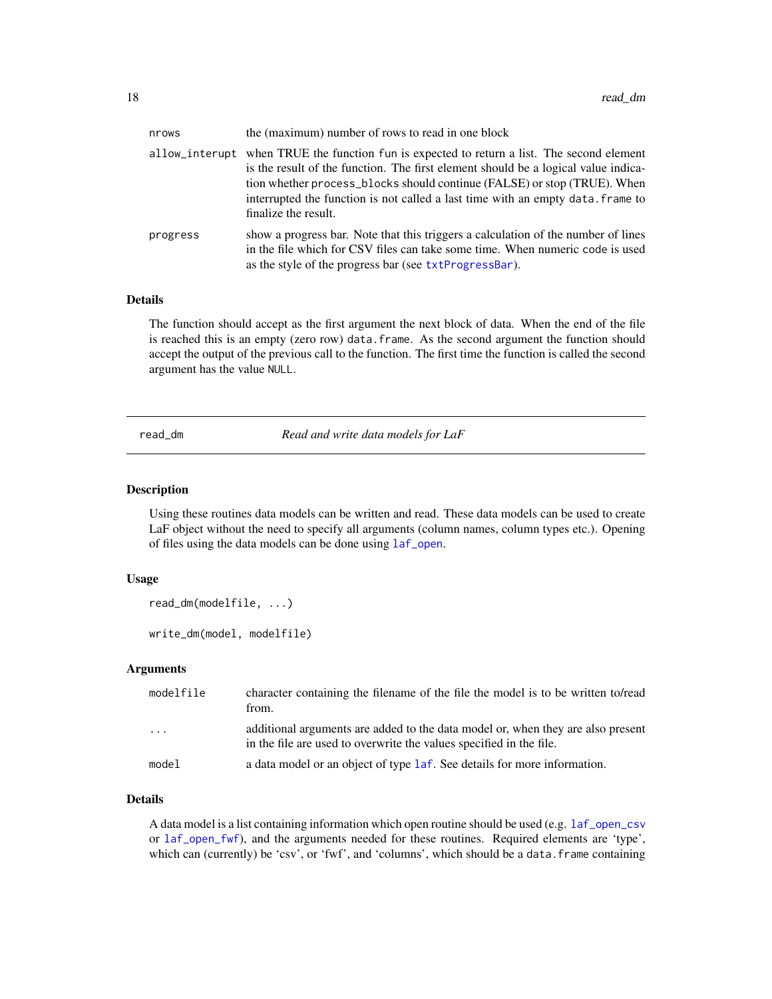<span id="page-17-0"></span>

| nrows    | the (maximum) number of rows to read in one block                                                                                                                                                                                                                                                                                                                       |
|----------|-------------------------------------------------------------------------------------------------------------------------------------------------------------------------------------------------------------------------------------------------------------------------------------------------------------------------------------------------------------------------|
|          | allow_interupt when TRUE the function fun is expected to return a list. The second element<br>is the result of the function. The first element should be a logical value indica-<br>tion whether process_blocks should continue (FALSE) or stop (TRUE). When<br>interrupted the function is not called a last time with an empty data. frame to<br>finalize the result. |
| progress | show a progress bar. Note that this triggers a calculation of the number of lines<br>in the file which for CSV files can take some time. When numeric code is used<br>as the style of the progress bar (see txtProgressBar).                                                                                                                                            |

### Details

The function should accept as the first argument the next block of data. When the end of the file is reached this is an empty (zero row) data.frame. As the second argument the function should accept the output of the previous call to the function. The first time the function is called the second argument has the value NULL.

<span id="page-17-2"></span>read\_dm *Read and write data models for LaF*

#### <span id="page-17-1"></span>Description

Using these routines data models can be written and read. These data models can be used to create LaF object without the need to specify all arguments (column names, column types etc.). Opening of files using the data models can be done using [laf\\_open](#page-9-1).

#### Usage

```
read_dm(modelfile, ...)
write_dm(model, modelfile)
```
#### Arguments

| modelfile | character containing the filename of the file the model is to be written to/read<br>from.                                                              |
|-----------|--------------------------------------------------------------------------------------------------------------------------------------------------------|
| .         | additional arguments are added to the data model or, when they are also present<br>in the file are used to overwrite the values specified in the file. |
| model     | a data model or an object of type 1 a f. See details for more information.                                                                             |

#### Details

A data model is a list containing information which open routine should be used (e.g. [laf\\_open\\_csv](#page-10-1) or [laf\\_open\\_fwf](#page-12-1)), and the arguments needed for these routines. Required elements are 'type', which can (currently) be 'csv', or 'fwf', and 'columns', which should be a data. frame containing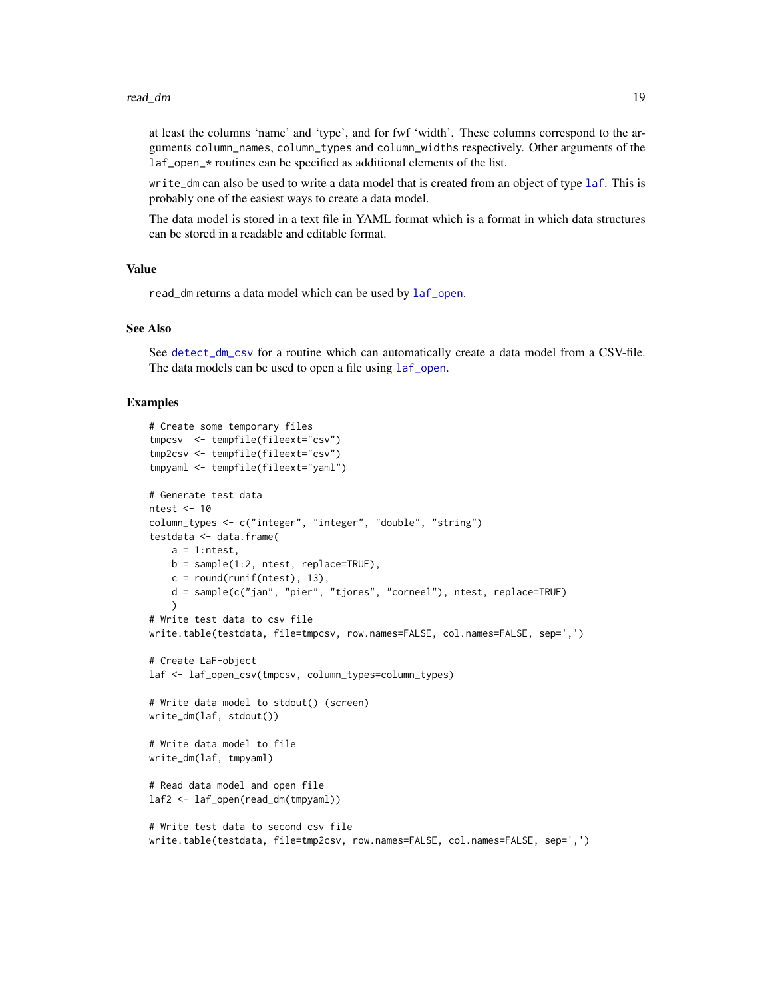<span id="page-18-0"></span>at least the columns 'name' and 'type', and for fwf 'width'. These columns correspond to the arguments column\_names, column\_types and column\_widths respectively. Other arguments of the laf\_open\_\* routines can be specified as additional elements of the list.

write\_dm can also be used to write a data model that is created from an object of type [laf](#page-8-1). This is probably one of the easiest ways to create a data model.

The data model is stored in a text file in YAML format which is a format in which data structures can be stored in a readable and editable format.

#### Value

read\_dm returns a data model which can be used by [laf\\_open](#page-9-1).

### See Also

See [detect\\_dm\\_csv](#page-4-1) for a routine which can automatically create a data model from a CSV-file. The data models can be used to open a file using [laf\\_open](#page-9-1).

#### Examples

```
# Create some temporary files
tmpcsv <- tempfile(fileext="csv")
tmp2csv <- tempfile(fileext="csv")
tmpyaml <- tempfile(fileext="yaml")
# Generate test data
ntest <- 10
column_types <- c("integer", "integer", "double", "string")
testdata <- data.frame(
   a = 1:ntest,
   b = sample(1:2, ntest, replace=TRUE),
   c = round(runif(ntest), 13),d = sample(c("jan", "pier", "tjores", "corneel"), ntest, replace=TRUE)
    )
# Write test data to csv file
write.table(testdata, file=tmpcsv, row.names=FALSE, col.names=FALSE, sep=',')
# Create LaF-object
laf <- laf_open_csv(tmpcsv, column_types=column_types)
# Write data model to stdout() (screen)
write_dm(laf, stdout())
# Write data model to file
write_dm(laf, tmpyaml)
# Read data model and open file
laf2 <- laf_open(read_dm(tmpyaml))
# Write test data to second csv file
write.table(testdata, file=tmp2csv, row.names=FALSE, col.names=FALSE, sep=',')
```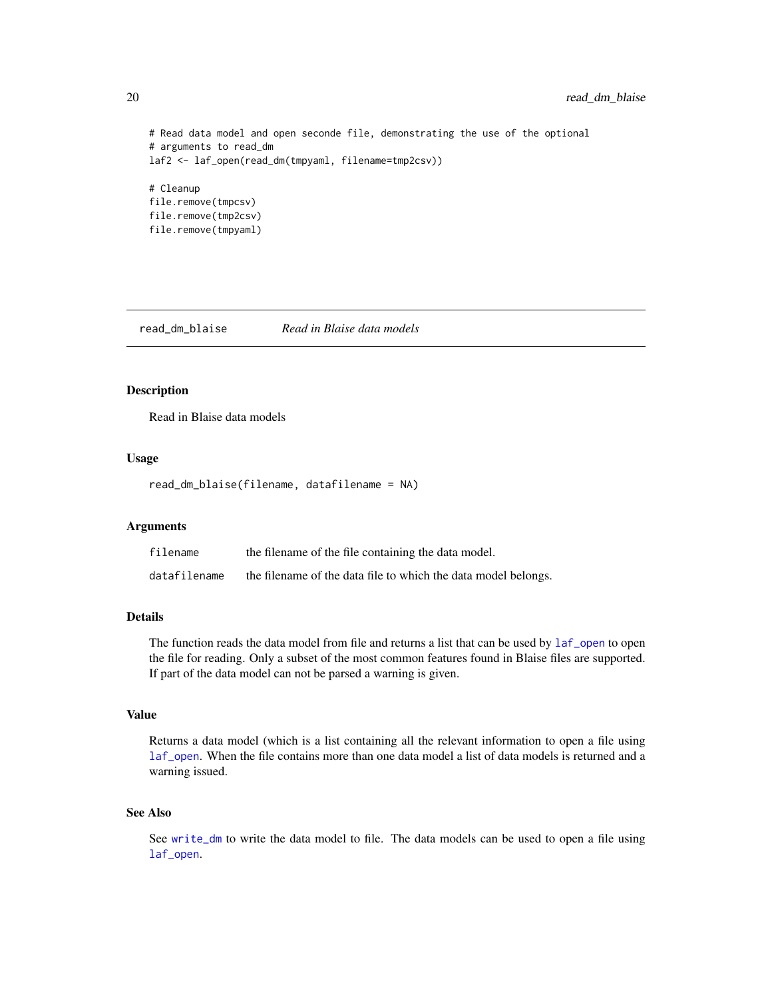```
# Read data model and open seconde file, demonstrating the use of the optional
# arguments to read_dm
laf2 <- laf_open(read_dm(tmpyaml, filename=tmp2csv))
# Cleanup
file.remove(tmpcsv)
file.remove(tmp2csv)
file.remove(tmpyaml)
```
read\_dm\_blaise *Read in Blaise data models*

### Description

Read in Blaise data models

#### Usage

read\_dm\_blaise(filename, datafilename = NA)

#### Arguments

| filename     | the filename of the file containing the data model.            |
|--------------|----------------------------------------------------------------|
| datafilename | the filename of the data file to which the data model belongs. |

### Details

The function reads the data model from file and returns a list that can be used by  $1af$  open to open the file for reading. Only a subset of the most common features found in Blaise files are supported. If part of the data model can not be parsed a warning is given.

#### Value

Returns a data model (which is a list containing all the relevant information to open a file using [laf\\_open](#page-9-1). When the file contains more than one data model a list of data models is returned and a warning issued.

#### See Also

See [write\\_dm](#page-17-1) to write the data model to file. The data models can be used to open a file using [laf\\_open](#page-9-1).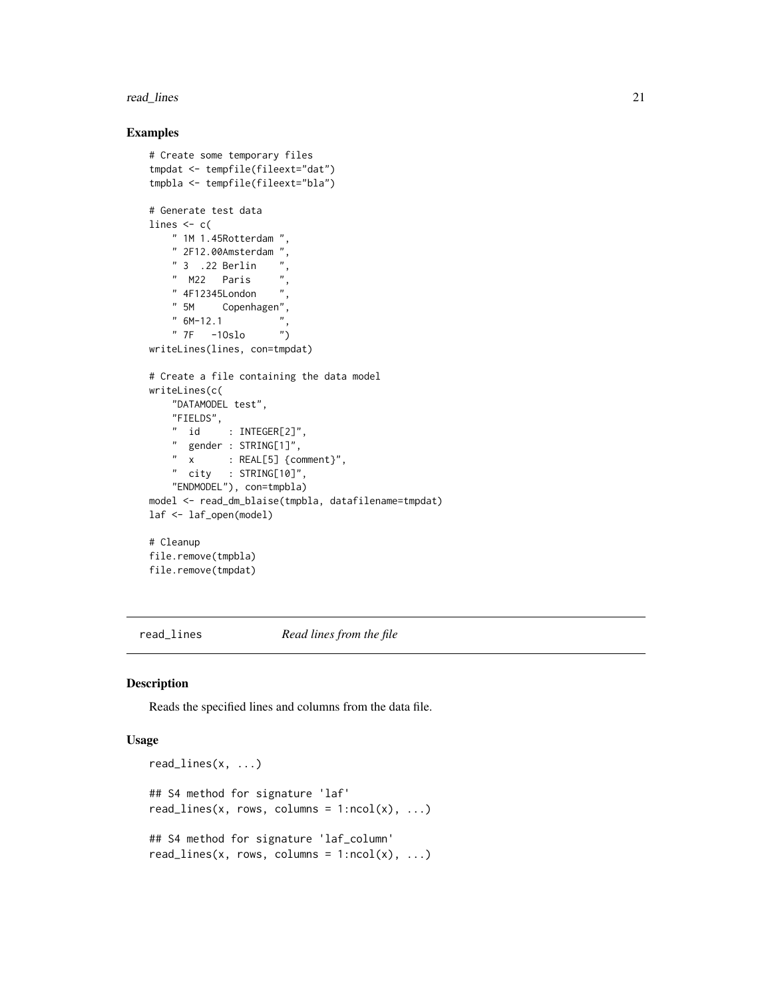#### <span id="page-20-0"></span>read\_lines 21

#### Examples

```
# Create some temporary files
tmpdat <- tempfile(fileext="dat")
tmpbla <- tempfile(fileext="bla")
# Generate test data
lines <- c(
    " 1M 1.45Rotterdam ",
   " 2F12.00Amsterdam ",
   " 3 .22 Berlin" M22 Paris ",
    " 4F12345London ",
    " 5M Copenhagen",
    " 6M-12.1"" 7F -1Oslo ")
writeLines(lines, con=tmpdat)
# Create a file containing the data model
writeLines(c(
    "DATAMODEL test",
   "FIELDS",
   " id : INTEGER[2]",
    " gender : STRING[1]",
    " x : REAL[5] {comment}",
    " city : STRING[10]",
    "ENDMODEL"), con=tmpbla)
model <- read_dm_blaise(tmpbla, datafilename=tmpdat)
laf <- laf_open(model)
# Cleanup
file.remove(tmpbla)
file.remove(tmpdat)
```
<span id="page-20-1"></span>read\_lines *Read lines from the file*

#### Description

Reads the specified lines and columns from the data file.

#### Usage

```
read_lines(x, ...)
## S4 method for signature 'laf'
read_lines(x, rows, columns = 1:ncol(x), ...)
## S4 method for signature 'laf_column'
read_lines(x, rows, columns = 1:ncol(x), ...)
```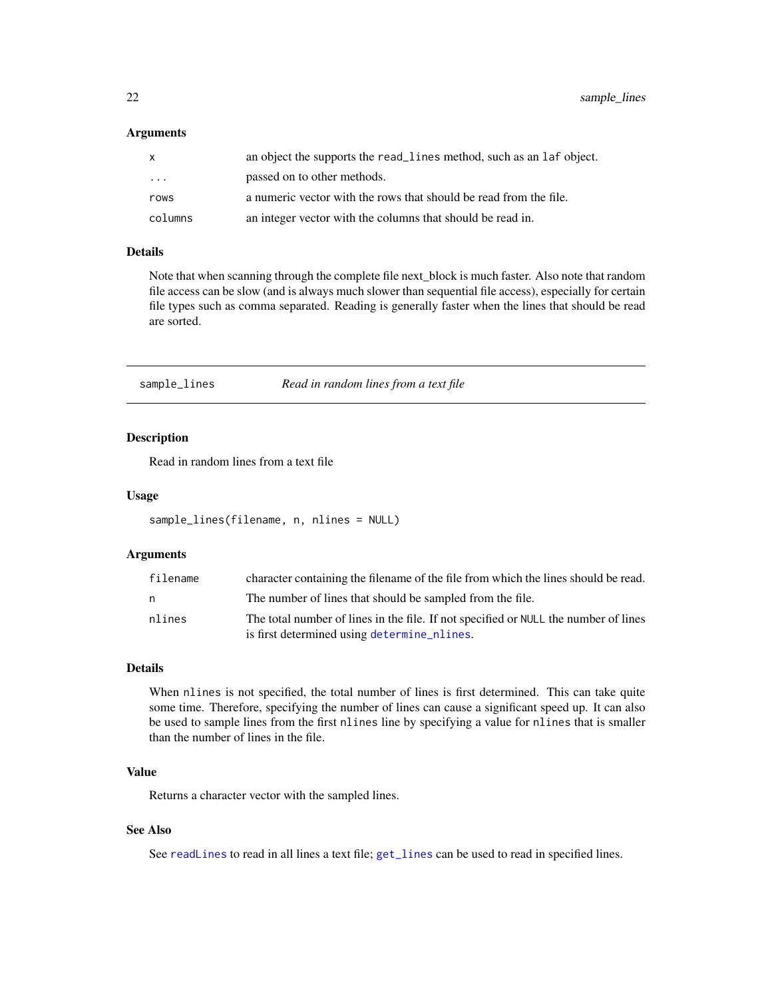#### <span id="page-21-0"></span>**Arguments**

| X       | an object the supports the read_lines method, such as an laf object. |
|---------|----------------------------------------------------------------------|
| .       | passed on to other methods.                                          |
| rows    | a numeric vector with the rows that should be read from the file.    |
| columns | an integer vector with the columns that should be read in.           |

### Details

Note that when scanning through the complete file next\_block is much faster. Also note that random file access can be slow (and is always much slower than sequential file access), especially for certain file types such as comma separated. Reading is generally faster when the lines that should be read are sorted.

<span id="page-21-1"></span>sample\_lines *Read in random lines from a text file*

### Description

Read in random lines from a text file

#### Usage

```
sample_lines(filename, n, nlines = NULL)
```
### Arguments

| filename | character containing the filename of the file from which the lines should be read.  |
|----------|-------------------------------------------------------------------------------------|
| n.       | The number of lines that should be sampled from the file.                           |
| nlines   | The total number of lines in the file. If not specified or NULL the number of lines |
|          | is first determined using determine_nlines.                                         |

#### Details

When nlines is not specified, the total number of lines is first determined. This can take quite some time. Therefore, specifying the number of lines can cause a significant speed up. It can also be used to sample lines from the first nlines line by specifying a value for nlines that is smaller than the number of lines in the file.

### Value

Returns a character vector with the sampled lines.

### See Also

See [readLines](#page-0-0) to read in all lines a text file; [get\\_lines](#page-7-1) can be used to read in specified lines.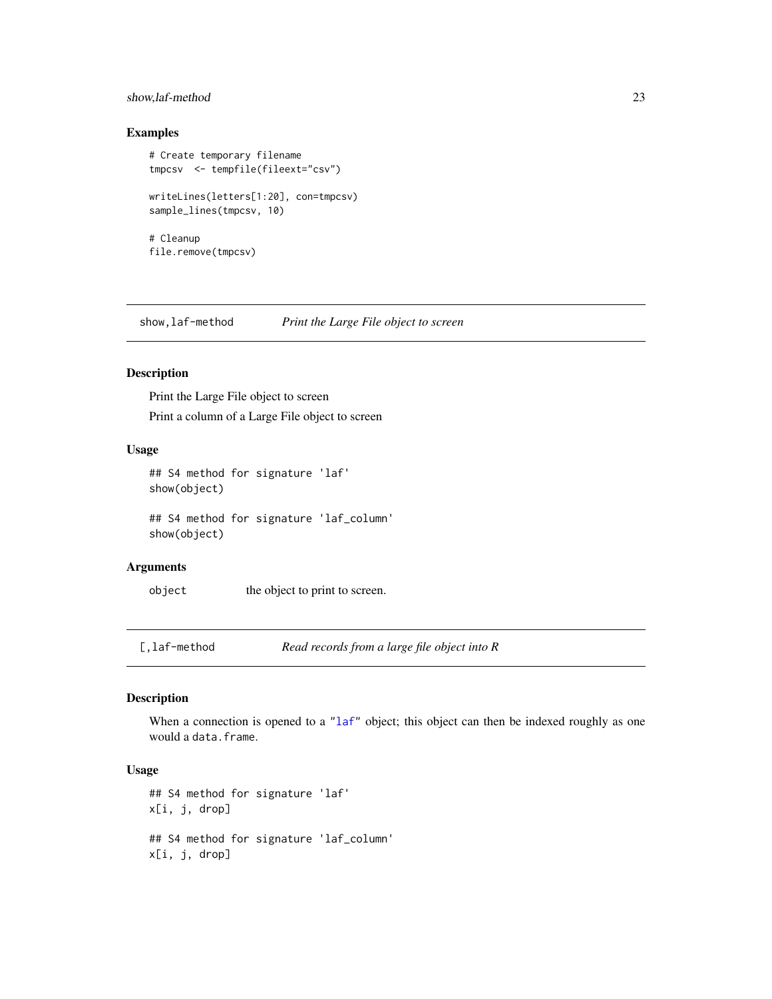#### <span id="page-22-0"></span>show,laf-method 23

### Examples

```
# Create temporary filename
tmpcsv <- tempfile(fileext="csv")
writeLines(letters[1:20], con=tmpcsv)
sample_lines(tmpcsv, 10)
# Cleanup
file.remove(tmpcsv)
```
show,laf-method *Print the Large File object to screen*

### Description

Print the Large File object to screen Print a column of a Large File object to screen

### Usage

```
## S4 method for signature 'laf'
show(object)
```
## S4 method for signature 'laf\_column' show(object)

#### Arguments

object the object to print to screen.

[,laf-method *Read records from a large file object into R*

#### Description

When a connection is opened to a ["laf"](#page-8-1) object; this object can then be indexed roughly as one would a data.frame.

### Usage

```
## S4 method for signature 'laf'
x[i, j, drop]
## S4 method for signature 'laf_column'
x[i, j, drop]
```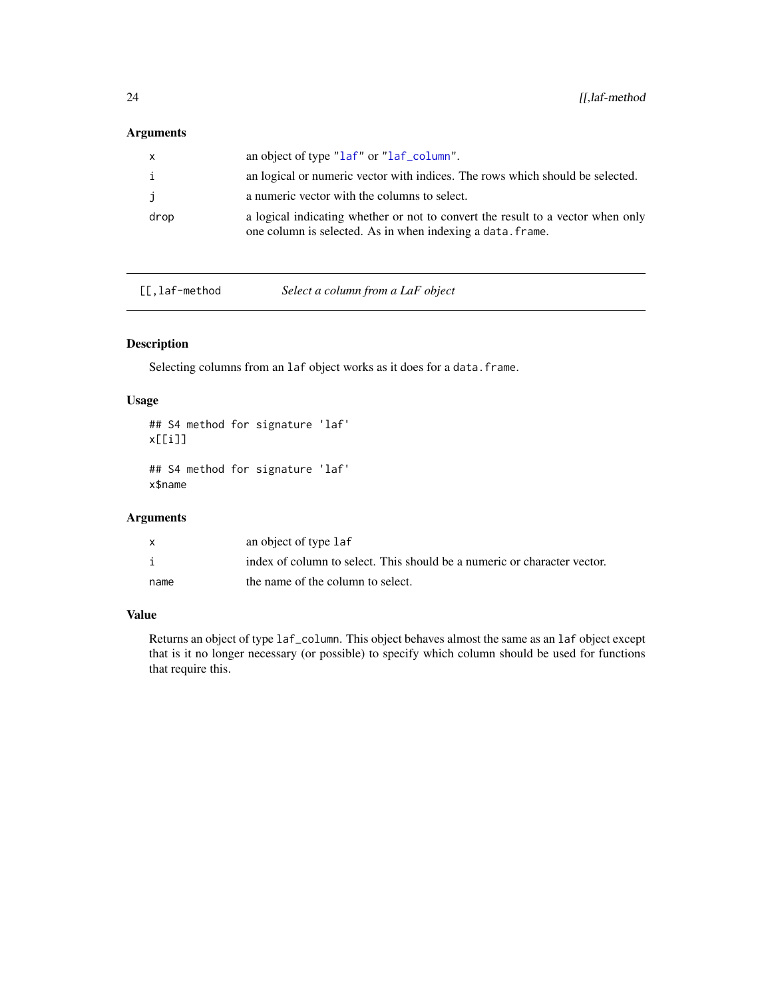### <span id="page-23-0"></span>Arguments

| $\mathsf{x}$ | an object of type "laf" or "laf_column".                                                                                                      |
|--------------|-----------------------------------------------------------------------------------------------------------------------------------------------|
| i            | an logical or numeric vector with indices. The rows which should be selected.                                                                 |
| j            | a numeric vector with the columns to select.                                                                                                  |
| drop         | a logical indicating whether or not to convert the result to a vector when only<br>one column is selected. As in when indexing a data. frame. |

[[,laf-method *Select a column from a LaF object*

### Description

Selecting columns from an laf object works as it does for a data.frame.

#### Usage

```
## S4 method for signature 'laf'
x[[i]]
```

```
## S4 method for signature 'laf'
x$name
```
### Arguments

| X    | an object of type laf                                                    |
|------|--------------------------------------------------------------------------|
|      | index of column to select. This should be a numeric or character vector. |
| name | the name of the column to select.                                        |

#### Value

Returns an object of type laf\_column. This object behaves almost the same as an laf object except that is it no longer necessary (or possible) to specify which column should be used for functions that require this.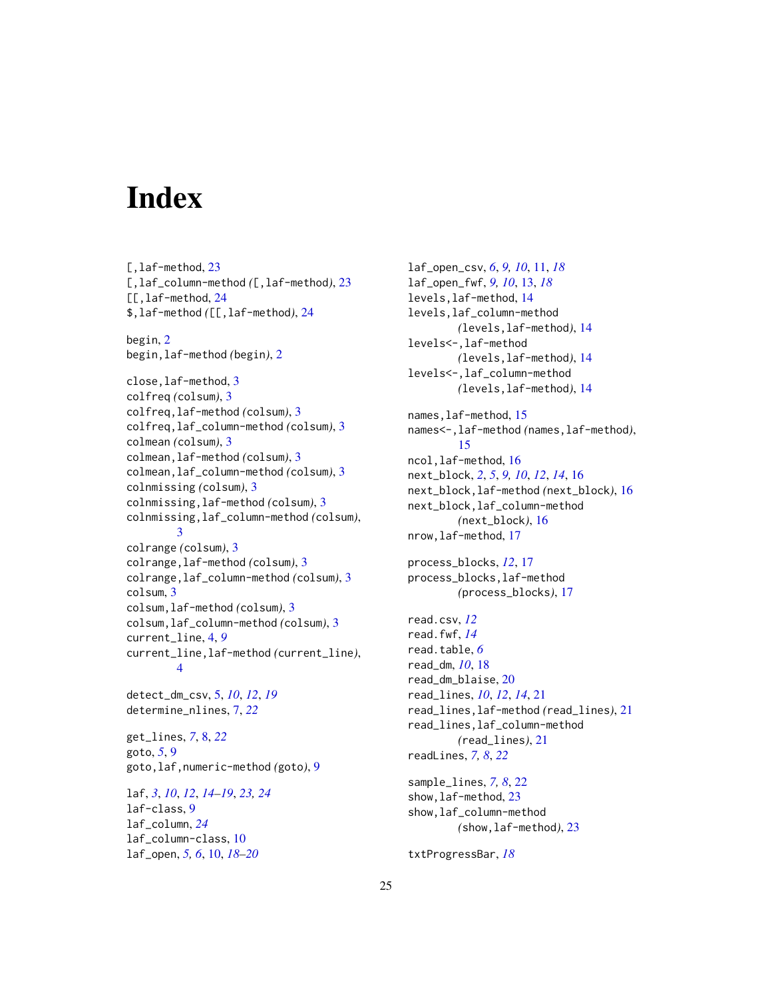# <span id="page-24-0"></span>Index

[, laf-method, [23](#page-22-0) [,laf\_column-method *(*[,laf-method*)*, [23](#page-22-0) [[,laf-method, [24](#page-23-0) \$,laf-method *(*[[,laf-method*)*, [24](#page-23-0) begin, [2](#page-1-0) begin,laf-method *(*begin*)*, [2](#page-1-0) close,laf-method, [3](#page-2-0) colfreq *(*colsum*)*, [3](#page-2-0) colfreq,laf-method *(*colsum*)*, [3](#page-2-0) colfreq,laf\_column-method *(*colsum*)*, [3](#page-2-0) colmean *(*colsum*)*, [3](#page-2-0) colmean,laf-method *(*colsum*)*, [3](#page-2-0) colmean,laf\_column-method *(*colsum*)*, [3](#page-2-0) colnmissing *(*colsum*)*, [3](#page-2-0) colnmissing,laf-method *(*colsum*)*, [3](#page-2-0) colnmissing,laf\_column-method *(*colsum*)*, [3](#page-2-0) colrange *(*colsum*)*, [3](#page-2-0) colrange,laf-method *(*colsum*)*, [3](#page-2-0) colrange,laf\_column-method *(*colsum*)*, [3](#page-2-0) colsum, [3](#page-2-0) colsum,laf-method *(*colsum*)*, [3](#page-2-0) colsum,laf\_column-method *(*colsum*)*, [3](#page-2-0) current\_line, [4,](#page-3-0) *[9](#page-8-0)* current\_line,laf-method *(*current\_line*)*, [4](#page-3-0) detect\_dm\_csv, [5,](#page-4-0) *[10](#page-9-0)*, *[12](#page-11-0)*, *[19](#page-18-0)* determine\_nlines, [7,](#page-6-0) *[22](#page-21-0)* get\_lines, *[7](#page-6-0)*, [8,](#page-7-0) *[22](#page-21-0)* goto, *[5](#page-4-0)*, [9](#page-8-0) goto,laf,numeric-method *(*goto*)*, [9](#page-8-0) laf, *[3](#page-2-0)*, *[10](#page-9-0)*, *[12](#page-11-0)*, *[14](#page-13-0)[–19](#page-18-0)*, *[23,](#page-22-0) [24](#page-23-0)* laf-class, [9](#page-8-0)

laf\_column, *[24](#page-23-0)* laf\_column-class, [10](#page-9-0) laf\_open, *[5,](#page-4-0) [6](#page-5-0)*, [10,](#page-9-0) *[18–](#page-17-0)[20](#page-19-0)* laf\_open\_csv, *[6](#page-5-0)*, *[9,](#page-8-0) [10](#page-9-0)*, [11,](#page-10-0) *[18](#page-17-0)* laf\_open\_fwf, *[9,](#page-8-0) [10](#page-9-0)*, [13,](#page-12-0) *[18](#page-17-0)* levels,laf-method, [14](#page-13-0) levels,laf\_column-method *(*levels,laf-method*)*, [14](#page-13-0) levels<-,laf-method *(*levels,laf-method*)*, [14](#page-13-0) levels<-,laf\_column-method *(*levels,laf-method*)*, [14](#page-13-0) names,laf-method, [15](#page-14-0) names<-,laf-method *(*names,laf-method*)*, [15](#page-14-0) ncol,laf-method, [16](#page-15-0) next\_block, *[2](#page-1-0)*, *[5](#page-4-0)*, *[9,](#page-8-0) [10](#page-9-0)*, *[12](#page-11-0)*, *[14](#page-13-0)*, [16](#page-15-0) next\_block,laf-method *(*next\_block*)*, [16](#page-15-0) next\_block,laf\_column-method *(*next\_block*)*, [16](#page-15-0) nrow,laf-method, [17](#page-16-0) process\_blocks, *[12](#page-11-0)*, [17](#page-16-0) process\_blocks,laf-method *(*process\_blocks*)*, [17](#page-16-0) read.csv, *[12](#page-11-0)* read.fwf, *[14](#page-13-0)* read.table, *[6](#page-5-0)* read\_dm, *[10](#page-9-0)*, [18](#page-17-0) read\_dm\_blaise, [20](#page-19-0) read\_lines, *[10](#page-9-0)*, *[12](#page-11-0)*, *[14](#page-13-0)*, [21](#page-20-0) read\_lines,laf-method *(*read\_lines*)*, [21](#page-20-0) read\_lines,laf\_column-method *(*read\_lines*)*, [21](#page-20-0) readLines, *[7,](#page-6-0) [8](#page-7-0)*, *[22](#page-21-0)* sample\_lines, *[7,](#page-6-0) [8](#page-7-0)*, [22](#page-21-0) show, laf-method, [23](#page-22-0) show,laf\_column-method

*(*show,laf-method*)*, [23](#page-22-0)

txtProgressBar, *[18](#page-17-0)*